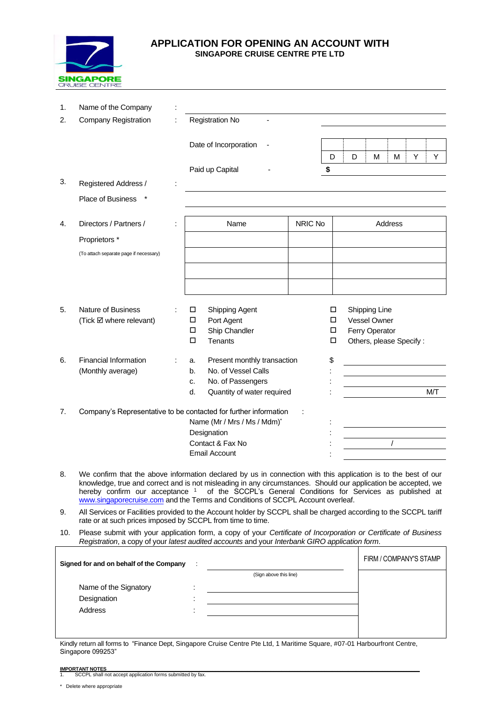

# **APPLICATION FOR OPENING AN ACCOUNT WITH SINGAPORE CRUISE CENTRE PTE LTD**

| 1. | Name of the Company                                              |                      |                                   |  |         |                         |         |          |   |     |  |
|----|------------------------------------------------------------------|----------------------|-----------------------------------|--|---------|-------------------------|---------|----------|---|-----|--|
|    |                                                                  |                      |                                   |  |         |                         |         |          |   |     |  |
| 2. | <b>Company Registration</b>                                      |                      | Registration No                   |  |         |                         |         |          |   |     |  |
|    |                                                                  |                      | Date of Incorporation             |  |         |                         |         |          |   |     |  |
|    |                                                                  |                      |                                   |  | D       | D                       | M       | М        | Y | Y   |  |
|    |                                                                  |                      | Paid up Capital                   |  | \$      |                         |         |          |   |     |  |
| 3. | Registered Address /                                             |                      |                                   |  |         |                         |         |          |   |     |  |
|    | <b>Place of Business</b>                                         |                      |                                   |  |         |                         |         |          |   |     |  |
|    |                                                                  |                      |                                   |  |         |                         |         |          |   |     |  |
| 4. | Directors / Partners /                                           |                      | Name                              |  | NRIC No |                         | Address |          |   |     |  |
|    | Proprietors *                                                    |                      |                                   |  |         |                         |         |          |   |     |  |
|    | (To attach separate page if necessary)                           |                      |                                   |  |         |                         |         |          |   |     |  |
|    |                                                                  |                      |                                   |  |         |                         |         |          |   |     |  |
|    |                                                                  |                      |                                   |  |         |                         |         |          |   |     |  |
|    |                                                                  |                      |                                   |  |         |                         |         |          |   |     |  |
| 5. | <b>Nature of Business</b>                                        |                      | Shipping Agent<br>□               |  | □       | Shipping Line           |         |          |   |     |  |
|    | (Tick Ø where relevant)                                          |                      | Port Agent<br>$\Box$              |  | □       | Vessel Owner            |         |          |   |     |  |
|    |                                                                  |                      | $\Box$<br>Ship Chandler           |  | $\Box$  | Ferry Operator          |         |          |   |     |  |
|    |                                                                  |                      | $\Box$<br>Tenants                 |  | □       | Others, please Specify: |         |          |   |     |  |
| 6. | Financial Information                                            |                      | Present monthly transaction<br>a. |  | \$      |                         |         |          |   |     |  |
|    | (Monthly average)                                                |                      | No. of Vessel Calls<br>b.         |  |         |                         |         |          |   |     |  |
|    |                                                                  |                      | No. of Passengers<br>C.           |  |         |                         |         |          |   |     |  |
|    |                                                                  |                      | Quantity of water required<br>d.  |  |         |                         |         |          |   | M/T |  |
| 7. | Company's Representative to be contacted for further information |                      |                                   |  |         |                         |         |          |   |     |  |
|    |                                                                  |                      | Name (Mr / Mrs / Ms / Mdm)*       |  |         |                         |         |          |   |     |  |
|    |                                                                  |                      | Designation                       |  |         |                         |         |          |   |     |  |
|    |                                                                  |                      | Contact & Fax No                  |  |         |                         |         | $\prime$ |   |     |  |
|    |                                                                  | <b>Email Account</b> |                                   |  |         |                         |         |          |   |     |  |

- 8. We confirm that the above information declared by us in connection with this application is to the best of our knowledge, true and correct and is not misleading in any circumstances. Should our application be accepted, we hereby confirm our acceptance <sup>1</sup> of the SCCPL's General Conditions for Services as published at [www.singaporecruise.com](http://www.singaporecruise.com/) and the Terms and Conditions of SCCPL Account overleaf.
- 9. All Services or Facilities provided to the Account holder by SCCPL shall be charged according to the SCCPL tariff rate or at such prices imposed by SCCPL from time to time.
- 10. Please submit with your application form, a copy of your *Certificate of Incorporation or Certificate of Business Registration*, a copy of your *latest audited accounts* and your *Interbank GIRO application form*.

| Signed for and on behalf of the Company |                          | FIRM / COMPANY'S STAMP |  |
|-----------------------------------------|--------------------------|------------------------|--|
|                                         |                          | (Sign above this line) |  |
| Name of the Signatory                   | $\overline{\phantom{a}}$ |                        |  |
| Designation                             |                          |                        |  |
| <b>Address</b>                          |                          |                        |  |
|                                         |                          |                        |  |
|                                         |                          |                        |  |

Kindly return all forms to "Finance Dept, Singapore Cruise Centre Pte Ltd, 1 Maritime Square, #07-01 Harbourfront Centre, Singapore 099253"

<sup>\*</sup> Delete where appropriate